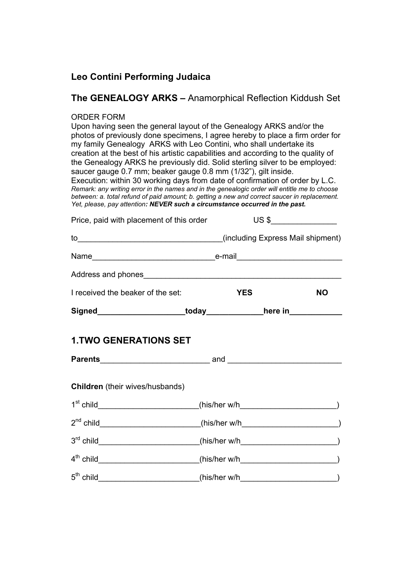## **Leo Contini Performing Judaica**

### **The GENEALOGY ARKS –** Anamorphical Reflection Kiddush Set

#### ORDER FORM

Upon having seen the general layout of the Genealogy ARKS and/or the photos of previously done specimens, I agree hereby to place a firm order for my family Genealogy ARKS with Leo Contini, who shall undertake its creation at the best of his artistic capabilities and according to the quality of the Genealogy ARKS he previously did. Solid sterling silver to be employed: saucer gauge 0.7 mm; beaker gauge 0.8 mm (1/32"), gilt inside. Execution: within 30 working days from date of confirmation of order by L.C.

*Remark: any writing error in the names and in the genealogic order will entitle me to choose between: a. total refund of paid amount; b. getting a new and correct saucer in replacement. Yet, please, pay attention: NEVER such a circumstance occurred in the past.* 

| Price, paid with placement of this order                                     |            | $\overline{\text{US } }$ $\overline{\text{S}}$ |           |
|------------------------------------------------------------------------------|------------|------------------------------------------------|-----------|
|                                                                              |            |                                                |           |
|                                                                              |            |                                                |           |
|                                                                              |            |                                                |           |
| I received the beaker of the set:                                            | <b>YES</b> |                                                | <b>NO</b> |
| Signed________________________today_______________here in_______________     |            |                                                |           |
| <b>1.TWO GENERATIONS SET</b>                                                 |            |                                                |           |
|                                                                              |            |                                                |           |
| Children (their wives/husbands)                                              |            |                                                |           |
| $1st$ child ________________________(his/her w/h_________________________)   |            |                                                |           |
| $2nd$ child ________________________(his/her w/h___________________________) |            |                                                |           |
| $3^{rd}$ child (his/her w/h $\qquad$ (his/her w/h $\qquad \qquad$ )          |            |                                                |           |
|                                                                              |            |                                                |           |
| $5th$ child (his/her w/h (his/her w/h )                                      |            |                                                |           |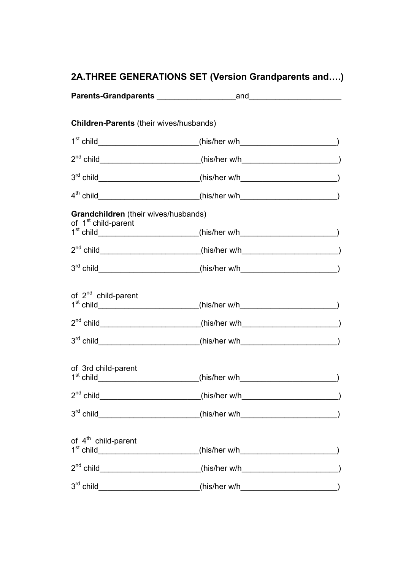# **2A.THREE GENERATIONS SET (Version Grandparents and….)**

| Children-Parents (their wives/husbands)                                 |                                                                                        |  |
|-------------------------------------------------------------------------|----------------------------------------------------------------------------------------|--|
|                                                                         | $1^{st}$ child___________________________(his/her w/h______________________________)   |  |
|                                                                         | $2nd$ child ________________________(his/her w/h__________________________)            |  |
|                                                                         | 3 <sup>rd</sup> child_________________________(his/her w/h_______________________)     |  |
|                                                                         | $4th$ child ___________________________(his/her w/h_________________________)          |  |
| Grandchildren (their wives/husbands)<br>of 1 <sup>st</sup> child-parent |                                                                                        |  |
|                                                                         | $1^{st}$ child___________________________(his/her w/h_____________________________)    |  |
|                                                                         | 2 <sup>nd</sup> child__________________________(his/her w/h__________________________) |  |
|                                                                         | $3rd$ child $\qquad \qquad (his/her w/h)$                                              |  |
| of 2 <sup>nd</sup> child-parent                                         | $1^{st}$ child____________________________(his/her w/h____________________________)    |  |
|                                                                         | 2 <sup>nd</sup> child_________________________(his/her w/h_______________________)     |  |
|                                                                         |                                                                                        |  |
| of 3rd child-parent                                                     | $1st$ child __________________________(his/her w/h__________________________)          |  |
| $2^{nd}$ child_                                                         | $(his/her w/h$ (his/her w/h                                                            |  |
|                                                                         | $3rd$ child (his/her w/h $\qquad \qquad (his/her w/h)$ )                               |  |
| of 4 <sup>th</sup> child-parent                                         |                                                                                        |  |
|                                                                         | 2 <sup>nd</sup> child_________________________(his/her w/h_______________________)     |  |
|                                                                         |                                                                                        |  |